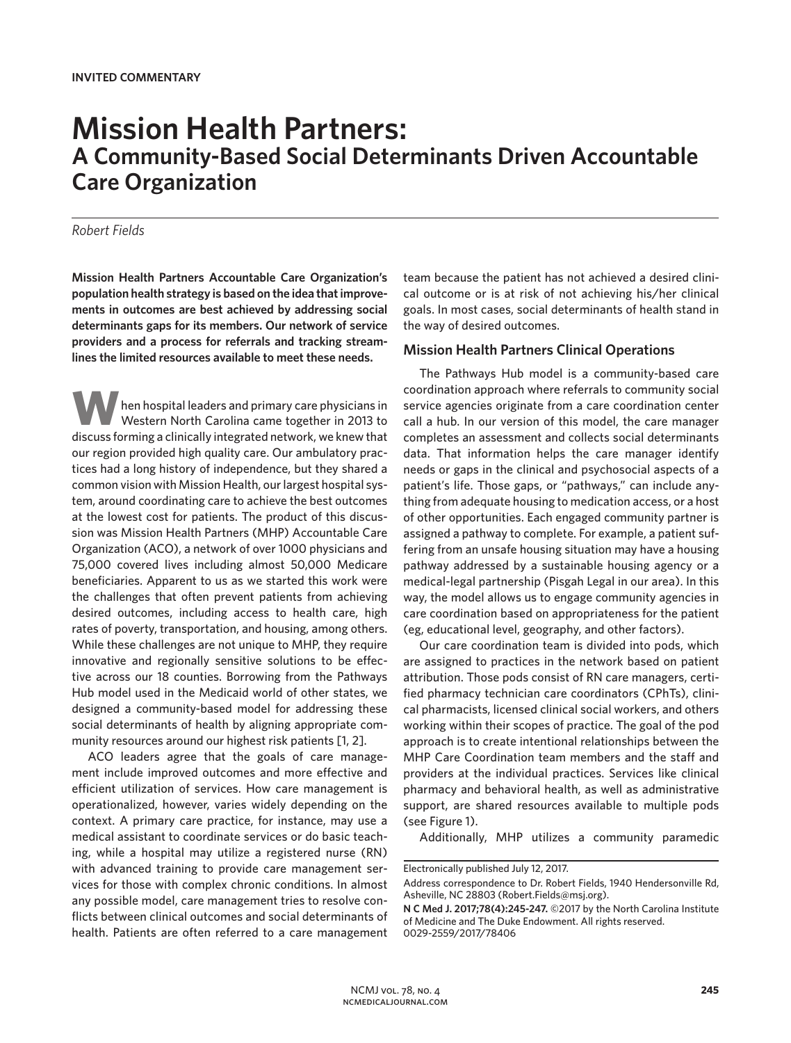# **Mission Health Partners: A Community-Based Social Determinants Driven Accountable Care Organization**

## *Robert Fields*

**Mission Health Partners Accountable Care Organization's population health strategy is based on the idea that improvements in outcomes are best achieved by addressing social determinants gaps for its members. Our network of service providers and a process for referrals and tracking streamlines the limited resources available to meet these needs.** 

**W**hen hospital leaders and primary care physicians in Western North Carolina came together in 2013 to discuss forming a clinically integrated network, we knew that our region provided high quality care. Our ambulatory practices had a long history of independence, but they shared a common vision with Mission Health, our largest hospital system, around coordinating care to achieve the best outcomes at the lowest cost for patients. The product of this discussion was Mission Health Partners (MHP) Accountable Care Organization (ACO), a network of over 1000 physicians and 75,000 covered lives including almost 50,000 Medicare beneficiaries. Apparent to us as we started this work were the challenges that often prevent patients from achieving desired outcomes, including access to health care, high rates of poverty, transportation, and housing, among others. While these challenges are not unique to MHP, they require innovative and regionally sensitive solutions to be effective across our 18 counties. Borrowing from the Pathways Hub model used in the Medicaid world of other states, we designed a community-based model for addressing these social determinants of health by aligning appropriate community resources around our highest risk patients [1, 2].

ACO leaders agree that the goals of care management include improved outcomes and more effective and efficient utilization of services. How care management is operationalized, however, varies widely depending on the context. A primary care practice, for instance, may use a medical assistant to coordinate services or do basic teaching, while a hospital may utilize a registered nurse (RN) with advanced training to provide care management services for those with complex chronic conditions. In almost any possible model, care management tries to resolve conflicts between clinical outcomes and social determinants of health. Patients are often referred to a care management team because the patient has not achieved a desired clinical outcome or is at risk of not achieving his/her clinical goals. In most cases, social determinants of health stand in the way of desired outcomes.

## **Mission Health Partners Clinical Operations**

The Pathways Hub model is a community-based care coordination approach where referrals to community social service agencies originate from a care coordination center call a hub. In our version of this model, the care manager completes an assessment and collects social determinants data. That information helps the care manager identify needs or gaps in the clinical and psychosocial aspects of a patient's life. Those gaps, or "pathways," can include anything from adequate housing to medication access, or a host of other opportunities. Each engaged community partner is assigned a pathway to complete. For example, a patient suffering from an unsafe housing situation may have a housing pathway addressed by a sustainable housing agency or a medical-legal partnership (Pisgah Legal in our area). In this way, the model allows us to engage community agencies in care coordination based on appropriateness for the patient (eg, educational level, geography, and other factors).

Our care coordination team is divided into pods, which are assigned to practices in the network based on patient attribution. Those pods consist of RN care managers, certified pharmacy technician care coordinators (CPhTs), clinical pharmacists, licensed clinical social workers, and others working within their scopes of practice. The goal of the pod approach is to create intentional relationships between the MHP Care Coordination team members and the staff and providers at the individual practices. Services like clinical pharmacy and behavioral health, as well as administrative support, are shared resources available to multiple pods (see Figure 1).

Additionally, MHP utilizes a community paramedic

Electronically published July 12, 2017.

Address correspondence to Dr. Robert Fields, 1940 Hendersonville Rd, Asheville, NC 28803 (Robert.Fields@msj.org).

**N C Med J. 2017;78(4):245-247.** ©2017 by the North Carolina Institute of Medicine and The Duke Endowment. All rights reserved. 0029-2559/2017/78406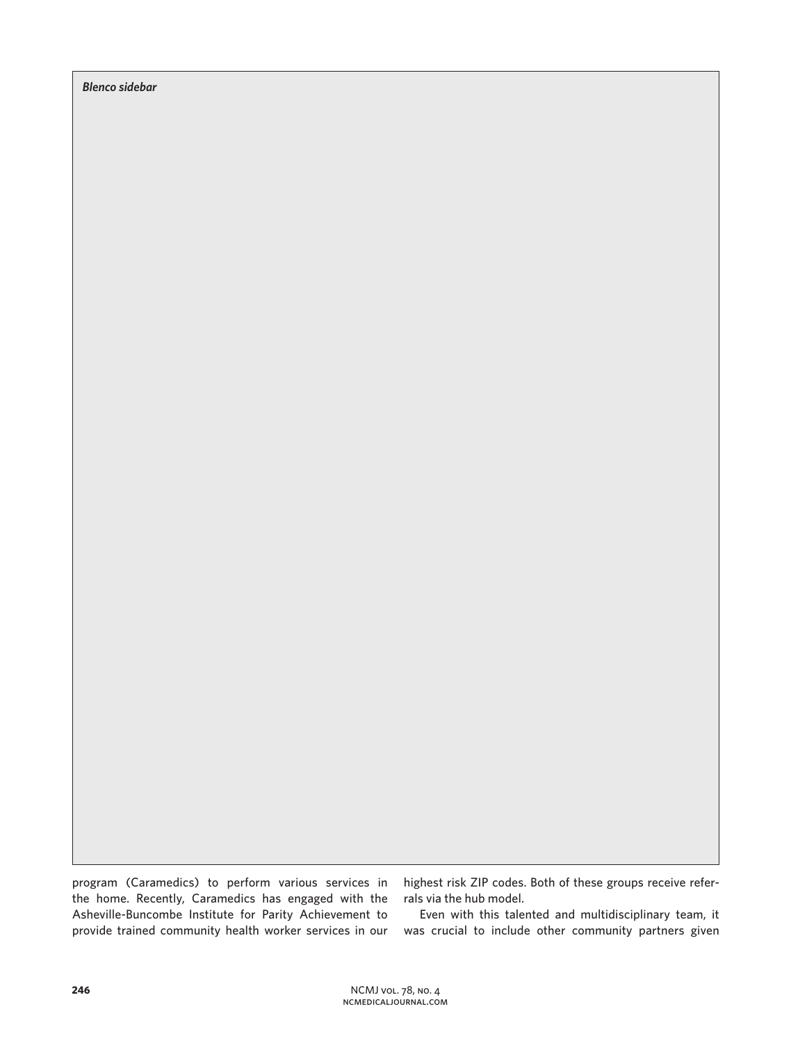*Blenco sidebar*

program (Caramedics) to perform various services in the home. Recently, Caramedics has engaged with the Asheville-Buncombe Institute for Parity Achievement to provide trained community health worker services in our

highest risk ZIP codes. Both of these groups receive referrals via the hub model.

Even with this talented and multidisciplinary team, it was crucial to include other community partners given